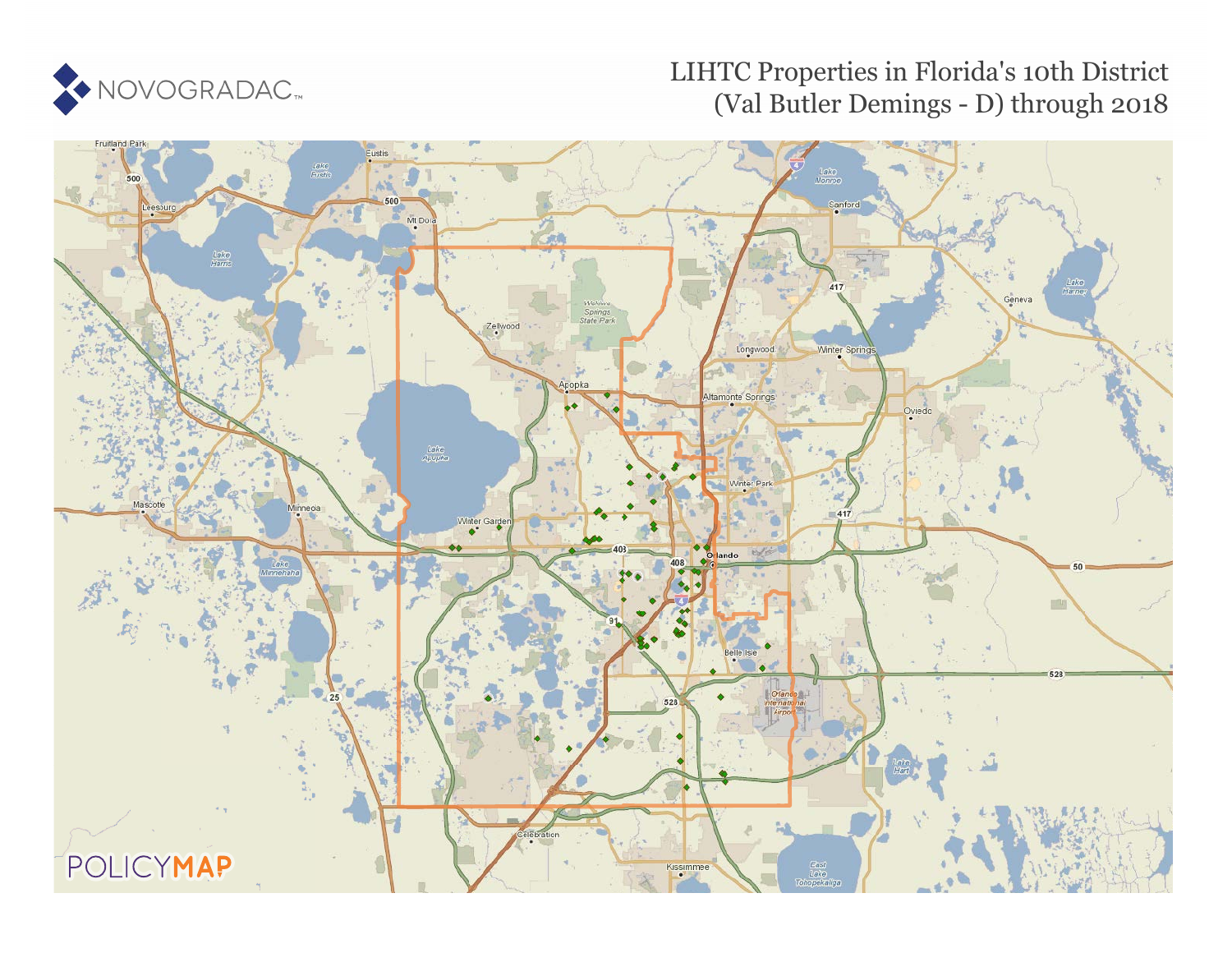

# LIHTC Properties in Florida's 10th District (Val Butler Demings - D) through 2018

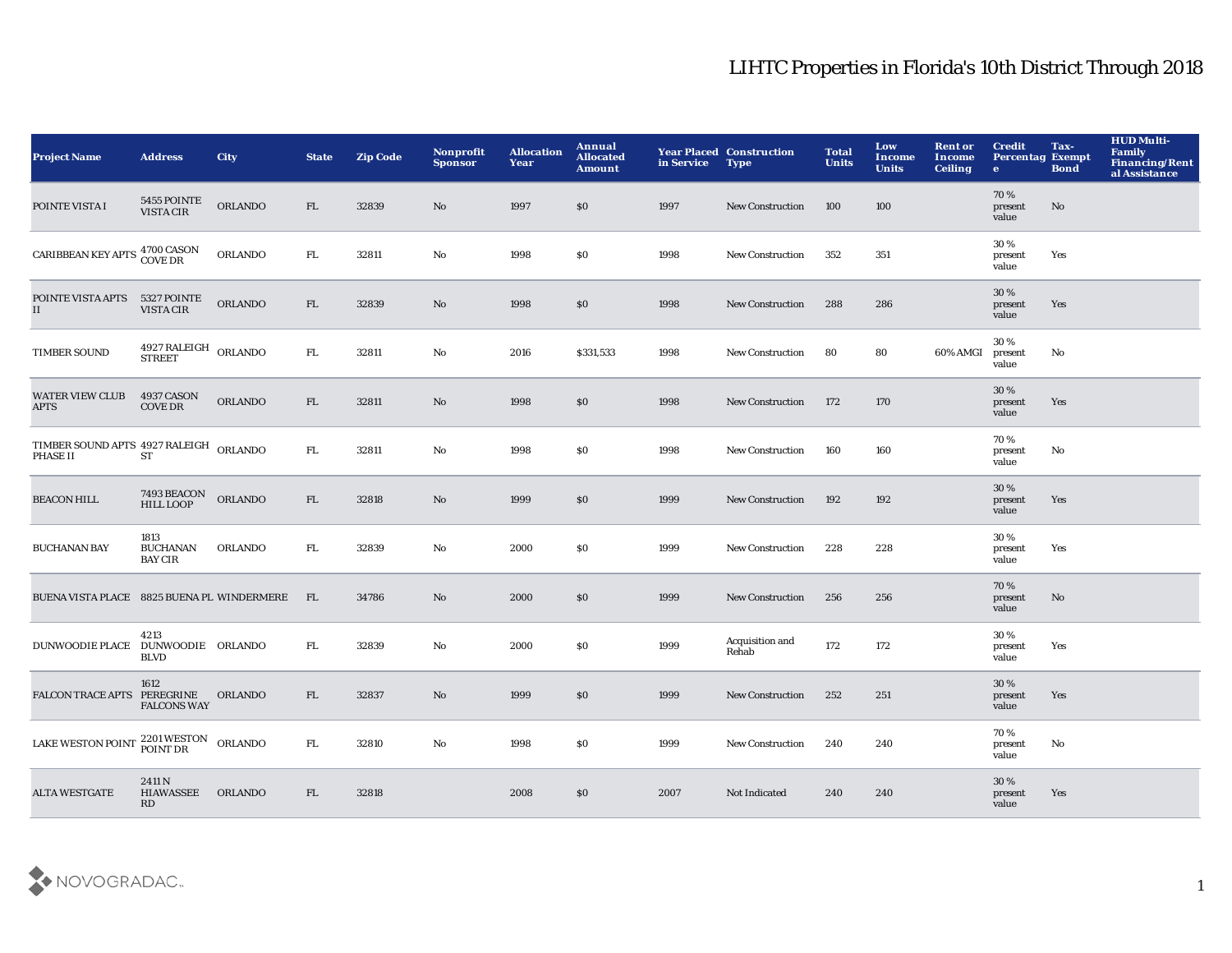| <b>Project Name</b>                                | <b>Address</b>                                    | <b>City</b>    | <b>State</b> | <b>Zip Code</b> | Nonprofit<br><b>Sponsor</b> | <b>Allocation</b><br>Year | Annual<br><b>Allocated</b><br>Amount | in Service | <b>Year Placed Construction</b><br><b>Type</b> | <b>Total</b><br><b>Units</b> | Low<br>Income<br><b>Units</b> | <b>Rent or</b><br>Income<br><b>Ceiling</b> | <b>Credit</b><br><b>Percentag Exempt</b><br>$\bullet$ | Tax-<br><b>Bond</b> | <b>HUD Multi-</b><br><b>Family</b><br><b>Financing/Rent</b><br>al Assistance |
|----------------------------------------------------|---------------------------------------------------|----------------|--------------|-----------------|-----------------------------|---------------------------|--------------------------------------|------------|------------------------------------------------|------------------------------|-------------------------------|--------------------------------------------|-------------------------------------------------------|---------------------|------------------------------------------------------------------------------|
| POINTE VISTA I                                     | 5455 POINTE<br>VISTA CIR                          | <b>ORLANDO</b> | FL.          | 32839           | No                          | 1997                      | \$0                                  | 1997       | <b>New Construction</b>                        | 100                          | 100                           |                                            | 70%<br>present<br>value                               | No                  |                                                                              |
| CARIBBEAN KEY APTS 4700 CASON<br>COVE DR           |                                                   | ORLANDO        | FL.          | 32811           | No                          | 1998                      | \$0                                  | 1998       | New Construction                               | 352                          | 351                           |                                            | 30%<br>present<br>value                               | Yes                 |                                                                              |
| POINTE VISTA APTS 5327 POINTE<br>II                | VISTA CIR                                         | <b>ORLANDO</b> | FL           | 32839           | $\rm No$                    | 1998                      | \$0                                  | 1998       | <b>New Construction</b>                        | 288                          | 286                           |                                            | 30%<br>present<br>value                               | Yes                 |                                                                              |
| <b>TIMBER SOUND</b>                                | $4927$ RALEIGH $\,$ ORLANDO $\,$<br><b>STREET</b> |                | FL.          | 32811           | No                          | 2016                      | \$331,533                            | 1998       | New Construction                               | 80                           | 80                            | 60% AMGI                                   | 30%<br>present<br>value                               | No                  |                                                                              |
| <b>WATER VIEW CLUB</b><br><b>APTS</b>              | 4937 CASON<br><b>COVE DR</b>                      | <b>ORLANDO</b> | FL           | 32811           | $\mathbf{N}\mathbf{o}$      | 1998                      | \$0                                  | 1998       | <b>New Construction</b>                        | 172                          | 170                           |                                            | 30 %<br>present<br>value                              | Yes                 |                                                                              |
| TIMBER SOUND APTS 4927 RALEIGH ORLANDO<br>PHASE II | ST                                                |                | ${\rm FL}$   | 32811           | $\mathbf{N}\mathbf{o}$      | 1998                      | \$0                                  | 1998       | <b>New Construction</b>                        | 160                          | 160                           |                                            | 70%<br>present<br>value                               | No                  |                                                                              |
| <b>BEACON HILL</b>                                 | 7493 BEACON<br><b>HILL LOOP</b>                   | ORLANDO        | FL           | 32818           | No                          | 1999                      | \$0                                  | 1999       | <b>New Construction</b>                        | 192                          | 192                           |                                            | 30 %<br>present<br>value                              | Yes                 |                                                                              |
| <b>BUCHANAN BAY</b>                                | 1813<br><b>BUCHANAN</b><br><b>BAY CIR</b>         | <b>ORLANDO</b> | FL.          | 32839           | No                          | 2000                      | \$0                                  | 1999       | <b>New Construction</b>                        | 228                          | 228                           |                                            | 30 %<br>present<br>value                              | Yes                 |                                                                              |
| BUENA VISTA PLACE 8825 BUENA PL WINDERMERE         |                                                   |                | - FL         | 34786           | No                          | 2000                      | \$0                                  | 1999       | <b>New Construction</b>                        | 256                          | 256                           |                                            | 70%<br>present<br>value                               | No                  |                                                                              |
| DUNWOODIE PLACE DUNWOODIE ORLANDO                  | 4213<br><b>BLVD</b>                               |                | FL.          | 32839           | No                          | 2000                      | \$0                                  | 1999       | Acquisition and<br>Rehab                       | 172                          | 172                           |                                            | 30%<br>present<br>value                               | Yes                 |                                                                              |
| FALCON TRACE APTS PEREGRINE ORLANDO                | 1612<br><b>FALCONS WAY</b>                        |                | FL           | 32837           | No                          | 1999                      | \$0                                  | 1999       | <b>New Construction</b>                        | 252                          | 251                           |                                            | 30%<br>present<br>value                               | Yes                 |                                                                              |
| LAKE WESTON POINT 2201 WESTON ORLANDO              |                                                   |                | FL.          | 32810           | No                          | 1998                      | \$0                                  | 1999       | <b>New Construction</b>                        | 240                          | 240                           |                                            | 70%<br>present<br>value                               | No                  |                                                                              |
| <b>ALTA WESTGATE</b>                               | 2411N<br><b>HIAWASSEE</b><br>RD                   | <b>ORLANDO</b> | FL.          | 32818           |                             | 2008                      | \$0                                  | 2007       | Not Indicated                                  | 240                          | 240                           |                                            | 30%<br>present<br>value                               | Yes                 |                                                                              |

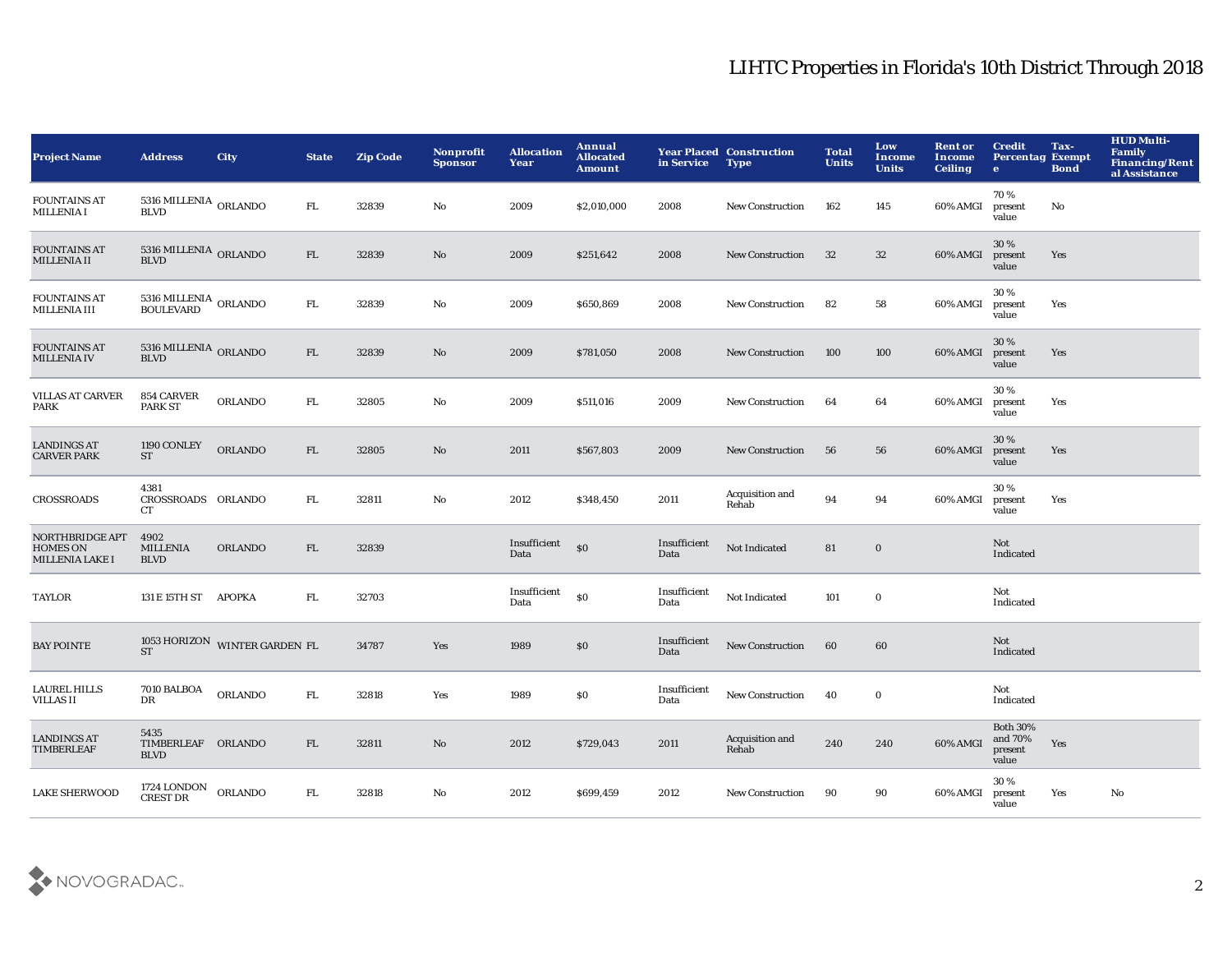| <b>Project Name</b>                                                 | <b>Address</b>                                 | <b>City</b>                   | <b>State</b> | <b>Zip Code</b> | Nonprofit<br><b>Sponsor</b> | <b>Allocation</b><br>Year | Annual<br><b>Allocated</b><br><b>Amount</b> | in Service           | <b>Year Placed Construction</b><br><b>Type</b> | <b>Total</b><br><b>Units</b> | Low<br><b>Income</b><br><b>Units</b> | <b>Rent or</b><br><b>Income</b><br><b>Ceiling</b> | <b>Credit</b><br><b>Percentag Exempt</b><br>$\bullet$ | Tax-<br><b>Bond</b> | <b>HUD Multi-</b><br>Family<br><b>Financing/Rent</b><br>al Assistance |
|---------------------------------------------------------------------|------------------------------------------------|-------------------------------|--------------|-----------------|-----------------------------|---------------------------|---------------------------------------------|----------------------|------------------------------------------------|------------------------------|--------------------------------------|---------------------------------------------------|-------------------------------------------------------|---------------------|-----------------------------------------------------------------------|
| <b>FOUNTAINS AT</b><br><b>MILLENIA I</b>                            | $5316\rm~MHz NIA$ $\rm~ORLANDO$<br><b>BLVD</b> |                               | FL.          | 32839           | No                          | 2009                      | \$2,010,000                                 | 2008                 | <b>New Construction</b>                        | 162                          | 145                                  | 60% AMGI                                          | 70%<br>present<br>value                               | No                  |                                                                       |
| <b>FOUNTAINS AT</b><br><b>MILLENIA II</b>                           | $5316\rm~MHz NIA$ $\rm~ORLANDO$ $\rm BLVD$     |                               | FL           | 32839           | No                          | 2009                      | \$251,642                                   | 2008                 | <b>New Construction</b>                        | 32                           | 32                                   | 60% AMGI                                          | 30%<br>present<br>value                               | Yes                 |                                                                       |
| <b>FOUNTAINS AT</b><br><b>MILLENIA III</b>                          | $5316\rm~MHz NIA$ ORLANDO BOULEVARD            |                               | FL.          | 32839           | No                          | 2009                      | \$650,869                                   | 2008                 | <b>New Construction</b>                        | 82                           | 58                                   | 60% AMGI                                          | 30%<br>present<br>value                               | Yes                 |                                                                       |
| <b>FOUNTAINS AT</b><br><b>MILLENIA IV</b>                           | 5316 MILLENIA ORLANDO<br><b>BLVD</b>           |                               | FL           | 32839           | No                          | 2009                      | \$781,050                                   | 2008                 | <b>New Construction</b>                        | 100                          | 100                                  | 60% AMGI                                          | 30%<br>present<br>value                               | Yes                 |                                                                       |
| <b>VILLAS AT CARVER</b><br>PARK                                     | 854 CARVER<br><b>PARK ST</b>                   | <b>ORLANDO</b>                | FL.          | 32805           | No                          | 2009                      | \$511,016                                   | 2009                 | New Construction                               | 64                           | 64                                   | 60% AMGI                                          | 30%<br>present<br>value                               | Yes                 |                                                                       |
| <b>LANDINGS AT</b><br><b>CARVER PARK</b>                            | 1190 CONLEY<br><b>ST</b>                       | <b>ORLANDO</b>                | FL           | 32805           | No                          | 2011                      | \$567,803                                   | 2009                 | <b>New Construction</b>                        | 56                           | 56                                   | 60% AMGI                                          | 30%<br>present<br>value                               | Yes                 |                                                                       |
| <b>CROSSROADS</b>                                                   | 4381<br>CROSSROADS ORLANDO<br><b>CT</b>        |                               | FL.          | 32811           | $\mathbf{No}$               | 2012                      | \$348,450                                   | 2011                 | Acquisition and<br>Rehab                       | 94                           | 94                                   | 60% AMGI                                          | 30%<br>present<br>value                               | Yes                 |                                                                       |
| <b>NORTHBRIDGE APT</b><br><b>HOMES ON</b><br><b>MILLENIA LAKE I</b> | 4902<br><b>MILLENIA</b><br><b>BLVD</b>         | <b>ORLANDO</b>                | FL           | 32839           |                             | Insufficient<br>Data      | \$0                                         | Insufficient<br>Data | Not Indicated                                  | 81                           | $\mathbf 0$                          |                                                   | Not<br>Indicated                                      |                     |                                                                       |
| <b>TAYLOR</b>                                                       | 131 E 15TH ST APOPKA                           |                               | ${\rm FL}$   | 32703           |                             | Insufficient<br>Data      | \$0                                         | Insufficient<br>Data | Not Indicated                                  | 101                          | $\bf{0}$                             |                                                   | Not<br>Indicated                                      |                     |                                                                       |
| <b>BAY POINTE</b>                                                   | <b>ST</b>                                      | 1053 HORIZON WINTER GARDEN FL |              | 34787           | Yes                         | 1989                      | \$0                                         | Insufficient<br>Data | <b>New Construction</b>                        | 60                           | 60                                   |                                                   | Not<br>Indicated                                      |                     |                                                                       |
| LAUREL HILLS<br>VILLAS II                                           | <b>7010 BALBOA</b><br>DR                       | <b>ORLANDO</b>                | FL.          | 32818           | Yes                         | 1989                      | \$0                                         | Insufficient<br>Data | New Construction                               | 40                           | $\bf{0}$                             |                                                   | Not<br>Indicated                                      |                     |                                                                       |
| <b>LANDINGS AT</b><br><b>TIMBERLEAF</b>                             | 5435<br>TIMBERLEAF ORLANDO<br><b>BLVD</b>      |                               | FL           | 32811           | No                          | 2012                      | \$729,043                                   | 2011                 | Acquisition and<br>Rehab                       | 240                          | 240                                  | 60% AMGI                                          | <b>Both 30%</b><br>and 70%<br>present<br>value        | Yes                 |                                                                       |
| <b>LAKE SHERWOOD</b>                                                | 1724 LONDON<br>CREST DR                        | <b>ORLANDO</b>                | FL.          | 32818           | No                          | 2012                      | \$699,459                                   | 2012                 | <b>New Construction</b>                        | 90                           | 90                                   | 60% AMGI                                          | 30%<br>present<br>value                               | Yes                 | No                                                                    |

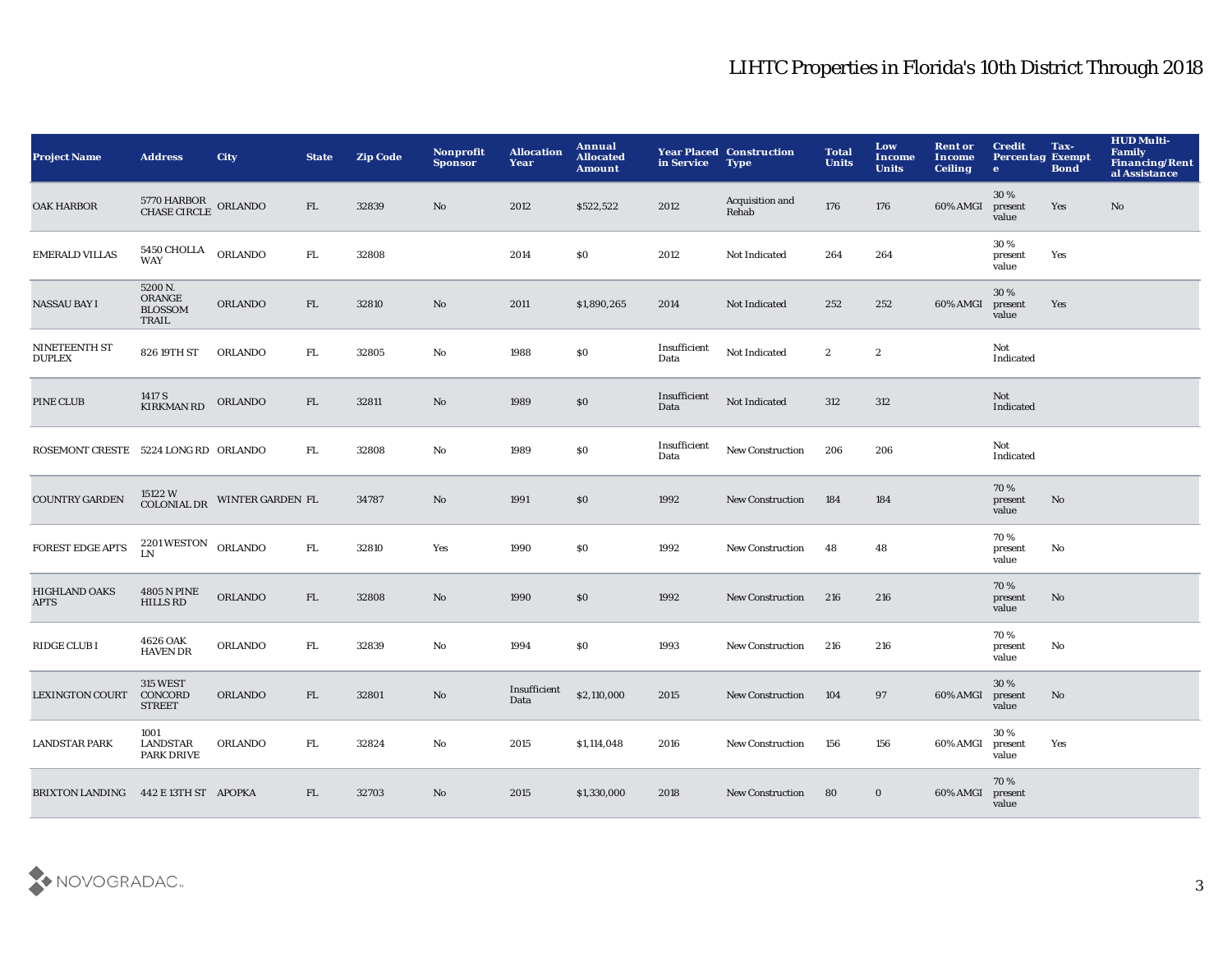| <b>Project Name</b>                  | <b>Address</b>                                              | <b>City</b>      | <b>State</b> | <b>Zip Code</b> | <b>Nonprofit</b><br><b>Sponsor</b> | <b>Allocation</b><br>Year | Annual<br><b>Allocated</b><br><b>Amount</b> | in Service           | <b>Year Placed Construction</b><br><b>Type</b> | <b>Total</b><br><b>Units</b> | Low<br><b>Income</b><br><b>Units</b> | <b>Rent or</b><br>Income<br><b>Ceiling</b> | <b>Credit</b><br><b>Percentag Exempt</b><br>$\mathbf{e}$ | Tax-<br><b>Bond</b> | <b>HUD Multi-</b><br><b>Family</b><br>Financing/Rent<br>al Assistance |
|--------------------------------------|-------------------------------------------------------------|------------------|--------------|-----------------|------------------------------------|---------------------------|---------------------------------------------|----------------------|------------------------------------------------|------------------------------|--------------------------------------|--------------------------------------------|----------------------------------------------------------|---------------------|-----------------------------------------------------------------------|
| <b>OAK HARBOR</b>                    | $5770\,$ HARBOR $\,$ ORLANDO CHASE CIRCLE $\,$ ORLANDO $\,$ |                  | FL           | 32839           | No                                 | 2012                      | \$522,522                                   | 2012                 | Acquisition and<br>Rehab                       | 176                          | 176                                  | 60% AMGI                                   | 30 %<br>present<br>value                                 | Yes                 | $\mathbf{N}\mathbf{o}$                                                |
| <b>EMERALD VILLAS</b>                | $5450\,$ CHOLLA $\,$ ORLANDO<br><b>WAY</b>                  |                  | ${\rm FL}$   | 32808           |                                    | 2014                      | \$0                                         | 2012                 | Not Indicated                                  | 264                          | 264                                  |                                            | 30%<br>present<br>value                                  | Yes                 |                                                                       |
| <b>NASSAU BAY I</b>                  | 5200 N.<br>ORANGE<br><b>BLOSSOM</b><br>TRAIL                | ORLANDO          | FL           | 32810           | No                                 | 2011                      | \$1,890,265                                 | 2014                 | Not Indicated                                  | 252                          | 252                                  | 60% AMGI                                   | 30%<br>present<br>value                                  | Yes                 |                                                                       |
| NINETEENTH ST<br><b>DUPLEX</b>       | 826 19TH ST                                                 | <b>ORLANDO</b>   | ${\rm FL}$   | 32805           | No                                 | 1988                      | \$0                                         | Insufficient<br>Data | Not Indicated                                  | $\boldsymbol{2}$             | $\boldsymbol{2}$                     |                                            | Not<br>Indicated                                         |                     |                                                                       |
| PINE CLUB                            | 1417 S<br>KIRKMAN RD                                        | ORLANDO          | FL           | 32811           | No                                 | 1989                      | $\$0$                                       | Insufficient<br>Data | Not Indicated                                  | 312                          | 312                                  |                                            | Not<br>Indicated                                         |                     |                                                                       |
| ROSEMONT CRESTE 5224 LONG RD ORLANDO |                                                             |                  | FL.          | 32808           | No                                 | 1989                      | \$0                                         | Insufficient<br>Data | <b>New Construction</b>                        | 206                          | 206                                  |                                            | Not<br>Indicated                                         |                     |                                                                       |
| <b>COUNTRY GARDEN</b>                | 15122 W<br>COLONIAL DR                                      | WINTER GARDEN FL |              | 34787           | No                                 | 1991                      | $\$0$                                       | 1992                 | <b>New Construction</b>                        | 184                          | 184                                  |                                            | 70%<br>present<br>value                                  | No                  |                                                                       |
| <b>FOREST EDGE APTS</b>              | $2201\, \rm{WESTON}$ $\,$ ORLANDO<br>LN                     |                  | ${\rm FL}$   | 32810           | Yes                                | 1990                      | \$0                                         | 1992                 | New Construction                               | 48                           | 48                                   |                                            | 70%<br>present<br>value                                  | No                  |                                                                       |
| <b>HIGHLAND OAKS</b><br><b>APTS</b>  | <b>4805 N PINE</b><br><b>HILLS RD</b>                       | <b>ORLANDO</b>   | FL           | 32808           | No                                 | 1990                      | $\$0$                                       | 1992                 | <b>New Construction</b>                        | 216                          | 216                                  |                                            | 70%<br>present<br>value                                  | No                  |                                                                       |
| RIDGE CLUB I                         | 4626 OAK<br><b>HAVEN DR</b>                                 | <b>ORLANDO</b>   | FL.          | 32839           | $\mathbf{N}\mathbf{o}$             | 1994                      | \$0                                         | 1993                 | New Construction                               | 216                          | 216                                  |                                            | 70%<br>present<br>value                                  | No                  |                                                                       |
| <b>LEXINGTON COURT</b>               | <b>315 WEST</b><br>CONCORD<br><b>STREET</b>                 | ORLANDO          | ${\rm FL}$   | 32801           | $\mathbf{No}$                      | Insufficient<br>Data      | \$2,110,000                                 | 2015                 | <b>New Construction</b>                        | 104                          | 97                                   | 60% AMGI                                   | 30%<br>present<br>value                                  | No                  |                                                                       |
| <b>LANDSTAR PARK</b>                 | 1001<br>LANDSTAR<br><b>PARK DRIVE</b>                       | <b>ORLANDO</b>   | FL.          | 32824           | No                                 | 2015                      | \$1,114,048                                 | 2016                 | <b>New Construction</b>                        | 156                          | 156                                  | 60% AMGI                                   | 30%<br>present<br>value                                  | Yes                 |                                                                       |
| BRIXTON LANDING 442 E 13TH ST APOPKA |                                                             |                  | FL           | 32703           | No                                 | 2015                      | \$1,330,000                                 | 2018                 | <b>New Construction</b>                        | 80                           | $\bf{0}$                             | 60% AMGI                                   | 70 %<br>present<br>value                                 |                     |                                                                       |

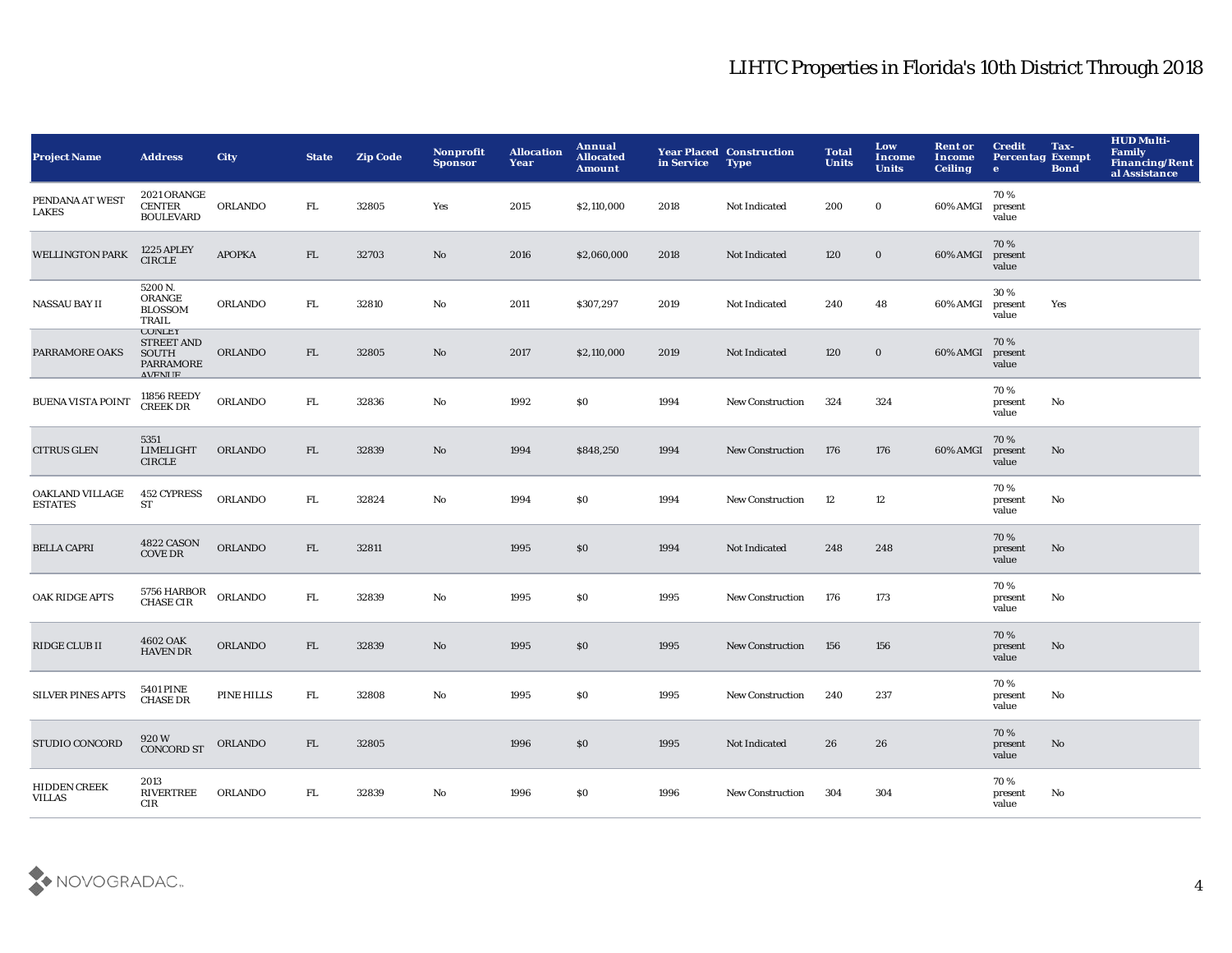| <b>Project Name</b>                  | <b>Address</b>                                                            | <b>City</b>    | <b>State</b> | <b>Zip Code</b> | <b>Nonprofit</b><br><b>Sponsor</b> | <b>Allocation</b><br>Year | Annual<br><b>Allocated</b><br><b>Amount</b> | in Service | <b>Year Placed Construction</b><br><b>Type</b> | <b>Total</b><br><b>Units</b> | Low<br><b>Income</b><br><b>Units</b> | <b>Rent or</b><br>Income<br><b>Ceiling</b> | <b>Credit</b><br><b>Percentag Exempt</b><br>$\bullet$ | Tax-<br><b>Bond</b> | <b>HUD Multi-</b><br>Family<br><b>Financing/Rent</b><br>al Assistance |
|--------------------------------------|---------------------------------------------------------------------------|----------------|--------------|-----------------|------------------------------------|---------------------------|---------------------------------------------|------------|------------------------------------------------|------------------------------|--------------------------------------|--------------------------------------------|-------------------------------------------------------|---------------------|-----------------------------------------------------------------------|
| PENDANA AT WEST<br><b>LAKES</b>      | 2021 ORANGE<br><b>CENTER</b><br><b>BOULEVARD</b>                          | <b>ORLANDO</b> | FL.          | 32805           | Yes                                | 2015                      | \$2,110,000                                 | 2018       | Not Indicated                                  | 200                          | $\bf{0}$                             | 60% AMGI                                   | 70%<br>present<br>value                               |                     |                                                                       |
| <b>WELLINGTON PARK</b>               | <b>1225 APLEY</b><br><b>CIRCLE</b>                                        | <b>APOPKA</b>  | FL           | 32703           | No                                 | 2016                      | \$2,060,000                                 | 2018       | Not Indicated                                  | 120                          | $\bf{0}$                             | 60% AMGI                                   | 70%<br>present<br>value                               |                     |                                                                       |
| <b>NASSAU BAY II</b>                 | 5200 N.<br>ORANGE<br><b>BLOSSOM</b><br>TRAIL                              | ORLANDO        | FL.          | 32810           | $\mathbf {No}$                     | 2011                      | \$307,297                                   | 2019       | Not Indicated                                  | 240                          | 48                                   | 60% AMGI                                   | 30%<br>present<br>value                               | Yes                 |                                                                       |
| PARRAMORE OAKS                       | <b>CONLEY</b><br><b>STREET AND</b><br>SOUTH<br>PARRAMORE<br><b>AVENUE</b> | <b>ORLANDO</b> | FL           | 32805           | No                                 | 2017                      | \$2,110,000                                 | 2019       | Not Indicated                                  | 120                          | $\bf{0}$                             | 60% AMGI                                   | 70%<br>present<br>value                               |                     |                                                                       |
| <b>BUENA VISTA POINT</b>             | 11856 REEDY<br><b>CREEK DR</b>                                            | ORLANDO        | FL.          | 32836           | No                                 | 1992                      | \$0                                         | 1994       | New Construction                               | 324                          | 324                                  |                                            | 70%<br>present<br>value                               | No                  |                                                                       |
| <b>CITRUS GLEN</b>                   | 5351<br><b>LIMELIGHT</b><br><b>CIRCLE</b>                                 | <b>ORLANDO</b> | FL           | 32839           | No                                 | 1994                      | \$848,250                                   | 1994       | <b>New Construction</b>                        | 176                          | 176                                  | 60% AMGI                                   | 70%<br>present<br>value                               | No                  |                                                                       |
| OAKLAND VILLAGE<br><b>ESTATES</b>    | <b>452 CYPRESS</b><br>ST                                                  | ORLANDO        | FL.          | 32824           | $\mathbf{N}\mathbf{o}$             | 1994                      | \$0                                         | 1994       | <b>New Construction</b>                        | 12                           | 12                                   |                                            | 70%<br>present<br>value                               | No                  |                                                                       |
| <b>BELLA CAPRI</b>                   | 4822 CASON<br><b>COVE DR</b>                                              | ORLANDO        | FL           | 32811           |                                    | 1995                      | \$0                                         | 1994       | Not Indicated                                  | 248                          | 248                                  |                                            | 70 %<br>present<br>value                              | No                  |                                                                       |
| OAK RIDGE APTS                       | 5756 HARBOR<br>CHASE CIR                                                  | ORLANDO        | FL.          | 32839           | $\rm No$                           | 1995                      | \$0                                         | 1995       | New Construction                               | 176                          | 173                                  |                                            | 70%<br>present<br>value                               | No                  |                                                                       |
| RIDGE CLUB II                        | 4602 OAK<br><b>HAVEN DR</b>                                               | ORLANDO        | FL           | 32839           | $\rm No$                           | 1995                      | \$0                                         | 1995       | <b>New Construction</b>                        | 156                          | 156                                  |                                            | 70%<br>present<br>value                               | No                  |                                                                       |
| <b>SILVER PINES APTS</b>             | <b>5401 PINE</b><br><b>CHASE DR</b>                                       | PINE HILLS     | FL.          | 32808           | No                                 | 1995                      | <b>SO</b>                                   | 1995       | <b>New Construction</b>                        | 240                          | 237                                  |                                            | 70%<br>present<br>value                               | No                  |                                                                       |
| STUDIO CONCORD                       | 920W<br><b>CONCORD ST</b>                                                 | <b>ORLANDO</b> | FL.          | 32805           |                                    | 1996                      | \$0                                         | 1995       | Not Indicated                                  | 26                           | 26                                   |                                            | 70%<br>present<br>value                               | No                  |                                                                       |
| <b>HIDDEN CREEK</b><br><b>VILLAS</b> | 2013<br><b>RIVERTREE</b><br>CIR                                           | <b>ORLANDO</b> | FL.          | 32839           | No                                 | 1996                      | <b>SO</b>                                   | 1996       | <b>New Construction</b>                        | 304                          | 304                                  |                                            | 70%<br>present<br>value                               | No                  |                                                                       |

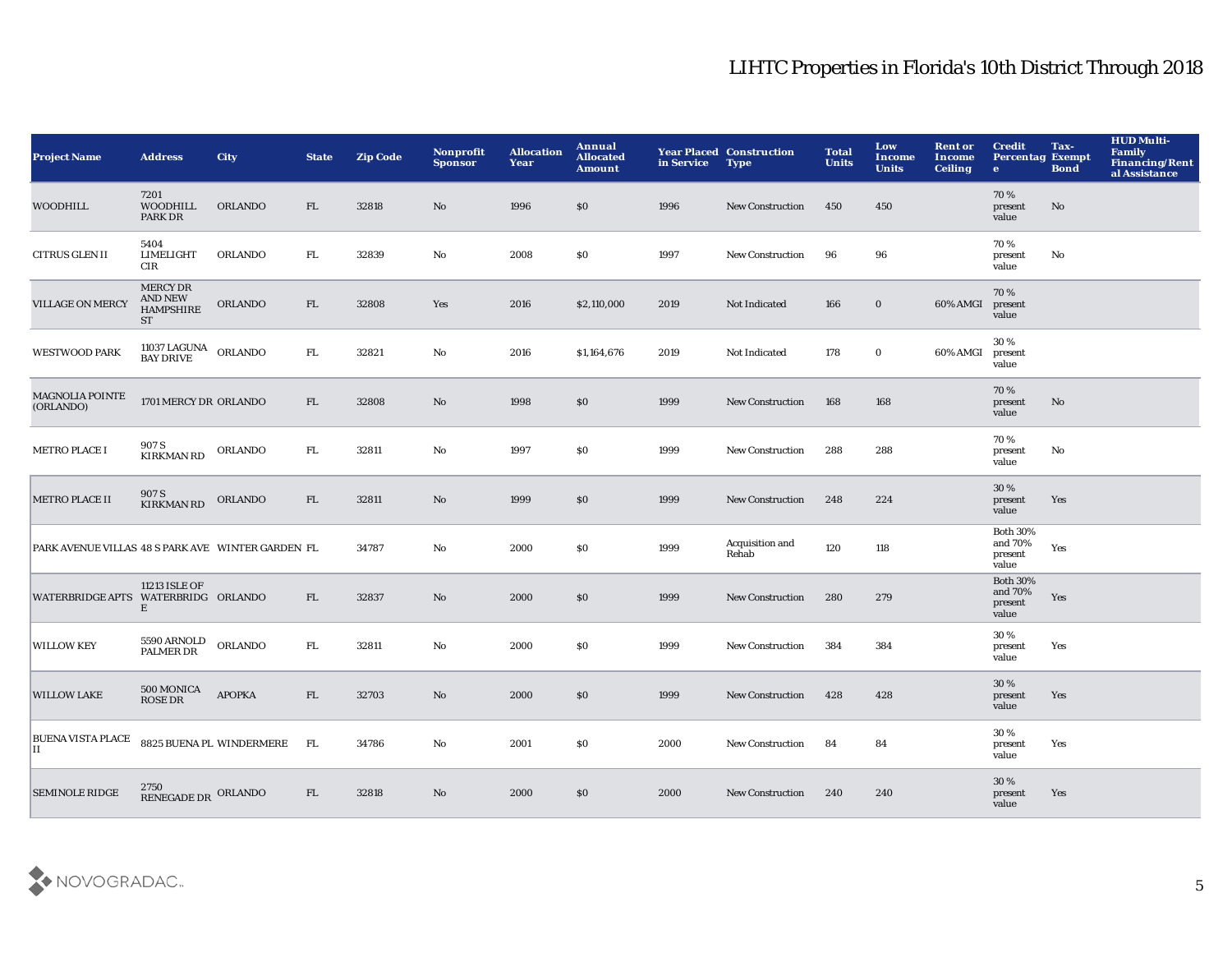| <b>Project Name</b>                               | <b>Address</b>                                                               | <b>City</b>              | <b>State</b> | <b>Zip Code</b> | Nonprofit<br><b>Sponsor</b> | <b>Allocation</b><br>Year | Annual<br><b>Allocated</b><br>Amount | in Service | <b>Year Placed Construction</b><br><b>Type</b> | <b>Total</b><br><b>Units</b> | Low<br>Income<br><b>Units</b> | <b>Rent or</b><br>Income<br><b>Ceiling</b> | <b>Credit</b><br><b>Percentag Exempt</b><br>$\bullet$ | Tax-<br><b>Bond</b> | <b>HUD Multi-</b><br>Family<br><b>Financing/Rent</b><br>al Assistance |
|---------------------------------------------------|------------------------------------------------------------------------------|--------------------------|--------------|-----------------|-----------------------------|---------------------------|--------------------------------------|------------|------------------------------------------------|------------------------------|-------------------------------|--------------------------------------------|-------------------------------------------------------|---------------------|-----------------------------------------------------------------------|
| WOODHILL                                          | 7201<br><b>WOODHILL</b><br>PARK DR                                           | <b>ORLANDO</b>           | FL           | 32818           | No                          | 1996                      | \$0                                  | 1996       | <b>New Construction</b>                        | 450                          | 450                           |                                            | 70%<br>present<br>value                               | No                  |                                                                       |
| <b>CITRUS GLEN II</b>                             | 5404<br><b>LIMELIGHT</b><br>CIR                                              | <b>ORLANDO</b>           | ${\rm FL}$   | 32839           | $\mathbf{No}$               | 2008                      | \$0                                  | 1997       | New Construction                               | 96                           | 96                            |                                            | 70%<br>present<br>value                               | $\mathbf{No}$       |                                                                       |
| <b>VILLAGE ON MERCY</b>                           | <b>MERCY DR</b><br>$\mathop{\rm AND}\nolimits$ NEW<br><b>HAMPSHIRE</b><br>ST | ORLANDO                  | FL           | 32808           | Yes                         | 2016                      | \$2,110,000                          | 2019       | Not Indicated                                  | 166                          | $\mathbf 0$                   | 60% AMGI                                   | 70%<br>present<br>value                               |                     |                                                                       |
| <b>WESTWOOD PARK</b>                              | 11037 LAGUNA ORLANDO<br>BAY DRIVE ORLANDO                                    |                          | FL.          | 32821           | No                          | 2016                      | \$1,164,676                          | 2019       | Not Indicated                                  | 178                          | $\bf{0}$                      | 60% AMGI                                   | 30%<br>present<br>value                               |                     |                                                                       |
| MAGNOLIA POINTE<br>(ORLANDO)                      | 1701 MERCY DR ORLANDO                                                        |                          | FL           | 32808           | No                          | 1998                      | \$0                                  | 1999       | <b>New Construction</b>                        | 168                          | 168                           |                                            | 70%<br>present<br>value                               | No                  |                                                                       |
| <b>METRO PLACE I</b>                              | 907 S<br><b>KIRKMAN RD</b>                                                   | <b>ORLANDO</b>           | FL.          | 32811           | No                          | 1997                      | \$0                                  | 1999       | <b>New Construction</b>                        | 288                          | 288                           |                                            | 70%<br>present<br>value                               | No                  |                                                                       |
| <b>METRO PLACE II</b>                             | 907 S<br><b>KIRKMAN RD</b>                                                   | <b>ORLANDO</b>           | FL           | 32811           | No                          | 1999                      | \$0                                  | 1999       | <b>New Construction</b>                        | 248                          | 224                           |                                            | 30 %<br>present<br>value                              | Yes                 |                                                                       |
| PARK AVENUE VILLAS 48 S PARK AVE WINTER GARDEN FL |                                                                              |                          |              | 34787           | No                          | 2000                      | \$0                                  | 1999       | Acquisition and<br>Rehab                       | 120                          | 118                           |                                            | <b>Both 30%</b><br>and 70%<br>present<br>value        | Yes                 |                                                                       |
| WATERBRIDGE APTS WATERBRIDG ORLANDO               | 11213 ISLE OF<br>Е                                                           |                          | FL           | 32837           | No                          | 2000                      | \$0                                  | 1999       | <b>New Construction</b>                        | 280                          | 279                           |                                            | <b>Both 30%</b><br>and 70%<br>present<br>value        | Yes                 |                                                                       |
| <b>WILLOW KEY</b>                                 | 5590 ARNOLD<br>PALMER DR                                                     | <b>ORLANDO</b>           | ${\rm FL}$   | 32811           | $\mathbf{No}$               | 2000                      | \$0                                  | 1999       | <b>New Construction</b>                        | 384                          | 384                           |                                            | 30%<br>present<br>value                               | Yes                 |                                                                       |
| <b>WILLOW LAKE</b>                                | 500 MONICA<br><b>ROSE DR</b>                                                 | <b>APOPKA</b>            | FL           | 32703           | No                          | 2000                      | \$0                                  | 1999       | <b>New Construction</b>                        | 428                          | 428                           |                                            | 30 %<br>present<br>value                              | Yes                 |                                                                       |
| <b>BUENA VISTA PLACE</b><br>$\mathbf{H}$          |                                                                              | 8825 BUENA PL WINDERMERE | <b>FL</b>    | 34786           | No                          | 2001                      | \$0                                  | 2000       | <b>New Construction</b>                        | 84                           | 84                            |                                            | 30%<br>present<br>value                               | Yes                 |                                                                       |
| <b>SEMINOLE RIDGE</b>                             | 2750<br>RENEGADE DR ORLANDO                                                  |                          | FL           | 32818           | No                          | 2000                      | \$0                                  | 2000       | <b>New Construction</b>                        | 240                          | 240                           |                                            | 30 %<br>present<br>value                              | Yes                 |                                                                       |

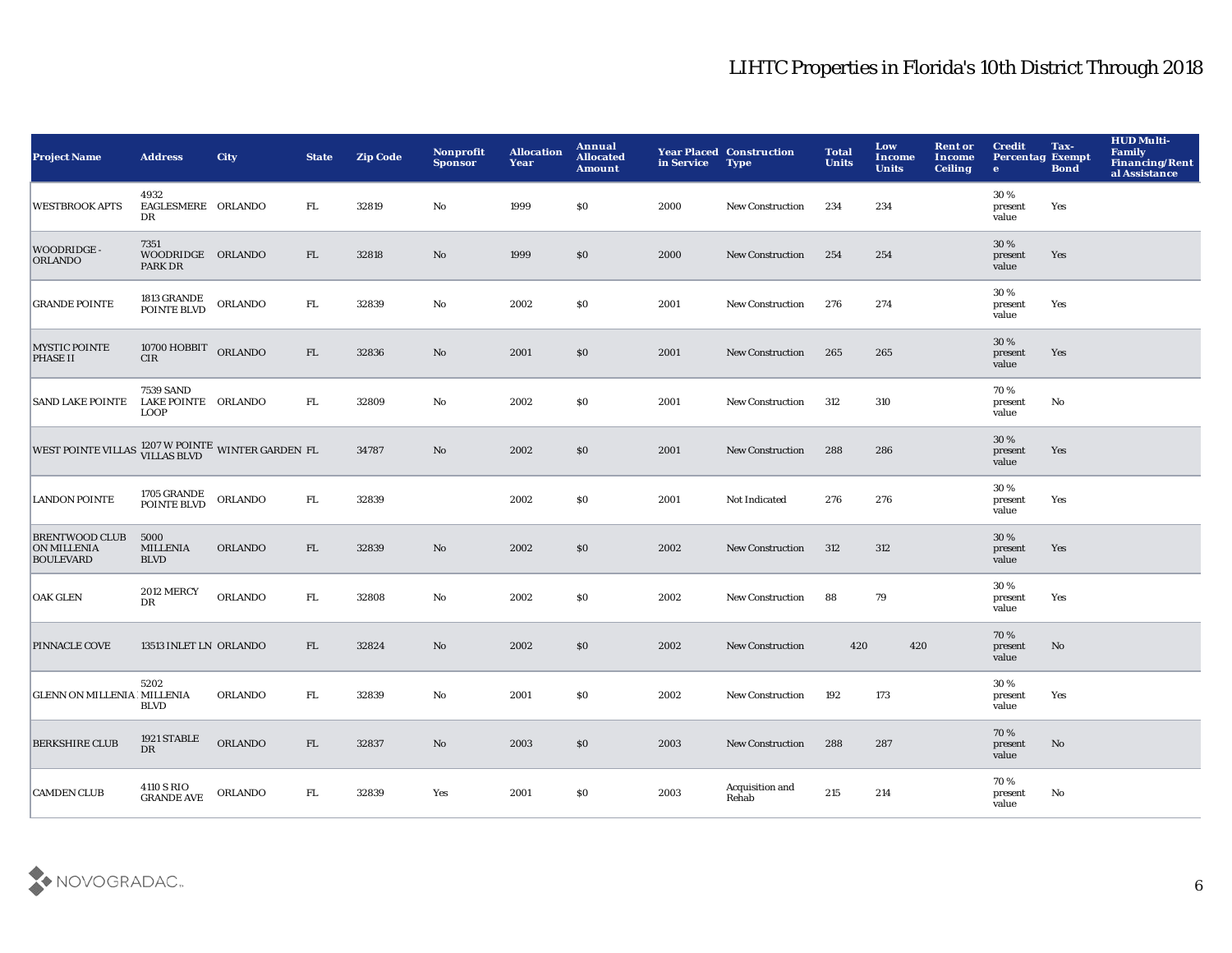| <b>Project Name</b>                                             | <b>Address</b>                                         | <b>City</b>    | <b>State</b> | <b>Zip Code</b> | Nonprofit<br><b>Sponsor</b> | <b>Allocation</b><br>Year | Annual<br><b>Allocated</b><br><b>Amount</b> | in Service | <b>Year Placed Construction</b><br><b>Type</b> | <b>Total</b><br><b>Units</b> | Low<br>Income<br><b>Units</b> | <b>Rent or</b><br>Income<br><b>Ceiling</b> | <b>Credit</b><br><b>Percentag Exempt</b><br>$\mathbf{e}$ | Tax-<br><b>Bond</b> | <b>HUD Multi-</b><br>Family<br>Financing/Rent<br>al Assistance |
|-----------------------------------------------------------------|--------------------------------------------------------|----------------|--------------|-----------------|-----------------------------|---------------------------|---------------------------------------------|------------|------------------------------------------------|------------------------------|-------------------------------|--------------------------------------------|----------------------------------------------------------|---------------------|----------------------------------------------------------------|
| <b>WESTBROOK APTS</b>                                           | 4932<br>EAGLESMERE ORLANDO<br>DR                       |                | FL           | 32819           | No                          | 1999                      | <b>SO</b>                                   | 2000       | <b>New Construction</b>                        | 234                          | 234                           |                                            | 30%<br>present<br>value                                  | Yes                 |                                                                |
| WOODRIDGE -<br><b>ORLANDO</b>                                   | 7351<br>WOODRIDGE ORLANDO<br>PARK DR                   |                | FL.          | 32818           | $\mathbf{No}$               | 1999                      | \$0                                         | 2000       | <b>New Construction</b>                        | 254                          | 254                           |                                            | 30%<br>present<br>value                                  | Yes                 |                                                                |
| <b>GRANDE POINTE</b>                                            | 1813 GRANDE<br>POINTE BLVD                             | <b>ORLANDO</b> | FL.          | 32839           | No                          | 2002                      | \$0                                         | 2001       | <b>New Construction</b>                        | 276                          | 274                           |                                            | 30%<br>present<br>value                                  | Yes                 |                                                                |
| <b>MYSTIC POINTE</b><br><b>PHASE II</b>                         | 10700 HOBBIT ORLANDO<br>CIR                            |                | FL.          | 32836           | $\mathbf{No}$               | 2001                      | \$0                                         | 2001       | <b>New Construction</b>                        | 265                          | 265                           |                                            | 30%<br>present<br>value                                  | Yes                 |                                                                |
| <b>SAND LAKE POINTE</b>                                         | <b>7539 SAND</b><br>LAKE POINTE ORLANDO<br><b>LOOP</b> |                | FL           | 32809           | No                          | 2002                      | \$0                                         | 2001       | <b>New Construction</b>                        | 312                          | 310                           |                                            | 70%<br>present<br>value                                  | No                  |                                                                |
| WEST POINTE VILLAS <sup>1207</sup> W POINTE WINTER GARDEN FL    |                                                        |                |              | 34787           | No                          | 2002                      | \$0                                         | 2001       | <b>New Construction</b>                        | 288                          | 286                           |                                            | 30%<br>present<br>value                                  | Yes                 |                                                                |
| <b>LANDON POINTE</b>                                            | 1705 GRANDE<br>POINTE BLVD                             | <b>ORLANDO</b> | FL.          | 32839           |                             | 2002                      | \$0                                         | 2001       | Not Indicated                                  | 276                          | 276                           |                                            | 30 %<br>present<br>value                                 | Yes                 |                                                                |
| <b>BRENTWOOD CLUB</b><br><b>ON MILLENIA</b><br><b>BOULEVARD</b> | 5000<br><b>MILLENIA</b><br><b>BLVD</b>                 | <b>ORLANDO</b> | FL.          | 32839           | No.                         | 2002                      | \$0                                         | 2002       | <b>New Construction</b>                        | 312                          | 312                           |                                            | 30%<br>present<br>value                                  | Yes                 |                                                                |
| <b>OAK GLEN</b>                                                 | <b>2012 MERCY</b><br>DR                                | <b>ORLANDO</b> | FL           | 32808           | No                          | 2002                      | <b>SO</b>                                   | 2002       | <b>New Construction</b>                        | 88                           | 79                            |                                            | 30%<br>present<br>value                                  | Yes                 |                                                                |
| <b>PINNACLE COVE</b>                                            | 13513 INLET LN ORLANDO                                 |                | FL.          | 32824           | No                          | 2002                      | \$0                                         | 2002       | <b>New Construction</b>                        | 420                          | 420                           |                                            | 70%<br>present<br>value                                  | No                  |                                                                |
| <b>GLENN ON MILLENIA IMILLENIA</b>                              | 5202<br><b>BLVD</b>                                    | <b>ORLANDO</b> | FL           | 32839           | No                          | 2001                      | <b>SO</b>                                   | 2002       | <b>New Construction</b>                        | 192                          | 173                           |                                            | 30%<br>present<br>value                                  | Yes                 |                                                                |
| <b>BERKSHIRE CLUB</b>                                           | 1921 STABLE<br><b>DR</b>                               | <b>ORLANDO</b> | FL.          | 32837           | No                          | 2003                      | \$0                                         | 2003       | <b>New Construction</b>                        | 288                          | 287                           |                                            | 70%<br>present<br>value                                  | No                  |                                                                |
| <b>CAMDEN CLUB</b>                                              | 4110 S RIO<br><b>GRANDE AVE</b>                        | <b>ORLANDO</b> | ${\rm FL}$   | 32839           | Yes                         | 2001                      | <b>SO</b>                                   | 2003       | Acquisition and<br>Rehab                       | 215                          | 214                           |                                            | 70%<br>present<br>value                                  | No                  |                                                                |

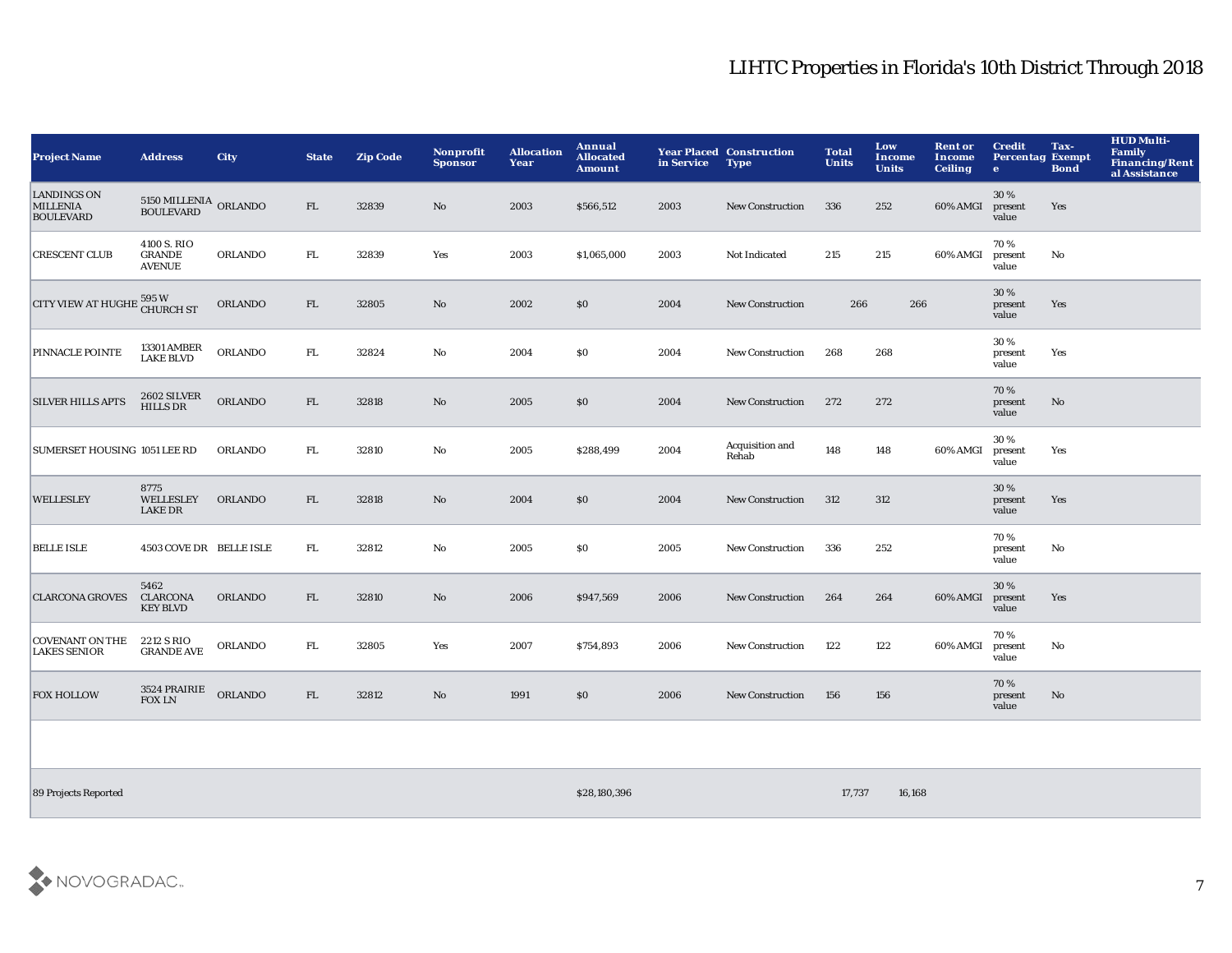| <b>Project Name</b>                                       | <b>Address</b>                             | <b>City</b>    | <b>State</b> | <b>Zip Code</b> | Nonprofit<br><b>Sponsor</b> | <b>Allocation</b><br><b>Year</b> | Annual<br><b>Allocated</b><br><b>Amount</b> | in Service | <b>Year Placed Construction</b><br><b>Type</b> | <b>Total</b><br><b>Units</b> | Low<br><b>Income</b><br><b>Units</b> | <b>Rent or</b><br>Income<br><b>Ceiling</b> | <b>Credit</b><br><b>Percentag Exempt</b><br>$\bullet$ | Tax-<br><b>Bond</b> | <b>HUD Multi-</b><br>Family<br>Financing/Rent<br>al Assistance |
|-----------------------------------------------------------|--------------------------------------------|----------------|--------------|-----------------|-----------------------------|----------------------------------|---------------------------------------------|------------|------------------------------------------------|------------------------------|--------------------------------------|--------------------------------------------|-------------------------------------------------------|---------------------|----------------------------------------------------------------|
| <b>LANDINGS ON</b><br><b>MILLENIA</b><br><b>BOULEVARD</b> | 5150 MILLENIA ORLANDO<br><b>BOULEVARD</b>  |                | ${\rm FL}$   | 32839           | $\mathbf{N}\mathbf{o}$      | 2003                             | \$566,512                                   | 2003       | <b>New Construction</b>                        | 336                          | 252                                  | 60% AMGI                                   | 30 %<br>present<br>value                              | Yes                 |                                                                |
| <b>CRESCENT CLUB</b>                                      | 4100 S. RIO<br>GRANDE<br><b>AVENUE</b>     | <b>ORLANDO</b> | FL           | 32839           | Yes                         | 2003                             | \$1,065,000                                 | 2003       | Not Indicated                                  | 215                          | 215                                  | 60% AMGI                                   | 70%<br>present<br>value                               | No                  |                                                                |
| CITY VIEW AT HUGHE: 595 W                                 |                                            | <b>ORLANDO</b> | FL.          | 32805           | No                          | 2002                             | \$0                                         | 2004       | <b>New Construction</b>                        | 266                          | 266                                  |                                            | 30%<br>present<br>value                               | Yes                 |                                                                |
| PINNACLE POINTE                                           | <b>13301 AMBER</b><br><b>LAKE BLVD</b>     | <b>ORLANDO</b> | FL           | 32824           | No                          | 2004                             | \$0                                         | 2004       | <b>New Construction</b>                        | 268                          | 268                                  |                                            | 30%<br>present<br>value                               | Yes                 |                                                                |
| <b>SILVER HILLS APTS</b>                                  | <b>2602 SILVER</b><br><b>HILLS DR</b>      | <b>ORLANDO</b> | FL.          | 32818           | $\mathbf{N}\mathbf{o}$      | 2005                             | \$0                                         | 2004       | <b>New Construction</b>                        | 272                          | 272                                  |                                            | 70 %<br>present<br>value                              | No                  |                                                                |
| SUMERSET HOUSING 1051 LEE RD                              |                                            | <b>ORLANDO</b> | FL           | 32810           | $\mathbf{No}$               | 2005                             | \$288,499                                   | 2004       | Acquisition and<br>Rehab                       | 148                          | 148                                  | 60% AMGI                                   | 30%<br>present<br>value                               | Yes                 |                                                                |
| <b>WELLESLEY</b>                                          | 8775<br>WELLESLEY<br><b>LAKE DR</b>        | <b>ORLANDO</b> | FL.          | 32818           | $\mathbf{N}\mathbf{o}$      | 2004                             | \$0                                         | 2004       | <b>New Construction</b>                        | 312                          | 312                                  |                                            | 30 %<br>present<br>value                              | Yes                 |                                                                |
| <b>BELLE ISLE</b>                                         | 4503 COVE DR BELLE ISLE                    |                | FL.          | 32812           | No                          | 2005                             | \$0                                         | 2005       | <b>New Construction</b>                        | 336                          | 252                                  |                                            | 70 %<br>present<br>value                              | No                  |                                                                |
| <b>CLARCONA GROVES</b>                                    | 5462<br><b>CLARCONA</b><br><b>KEY BLVD</b> | <b>ORLANDO</b> | FL           | 32810           | No                          | 2006                             | \$947,569                                   | 2006       | <b>New Construction</b>                        | 264                          | 264                                  | 60% AMGI                                   | 30%<br>present<br>value                               | Yes                 |                                                                |
| <b>COVENANT ON THE</b><br><b>LAKES SENIOR</b>             | 2212 S RIO<br><b>GRANDE AVE</b>            | <b>ORLANDO</b> | FL           | 32805           | Yes                         | 2007                             | \$754,893                                   | 2006       | <b>New Construction</b>                        | 122                          | 122                                  | 60% AMGI                                   | 70%<br>present<br>value                               | No                  |                                                                |
| <b>FOX HOLLOW</b>                                         | 3524 PRAIRIE<br><b>FOX LN</b>              | ORLANDO        | ${\rm FL}$   | 32812           | $\mathbf{N}\mathbf{o}$      | 1991                             | \$0                                         | 2006       | <b>New Construction</b>                        | 156                          | 156                                  |                                            | 70%<br>present<br>value                               | No                  |                                                                |
|                                                           |                                            |                |              |                 |                             |                                  |                                             |            |                                                |                              |                                      |                                            |                                                       |                     |                                                                |

89 Projects Reported \$28,180,396 17,737 16,168